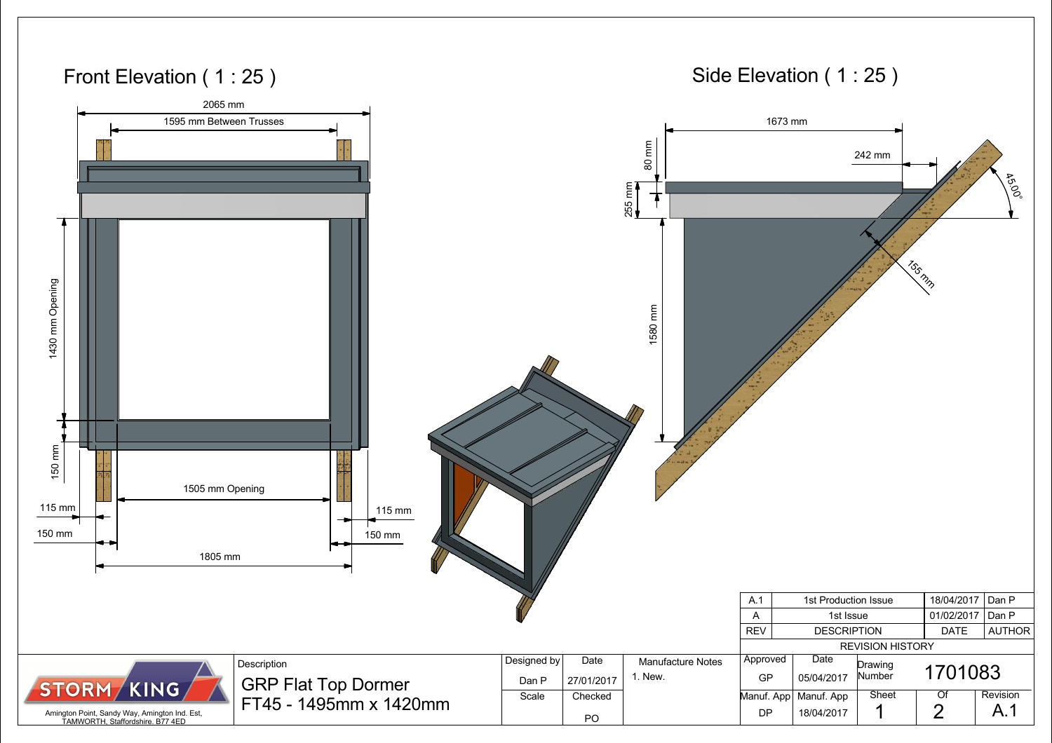